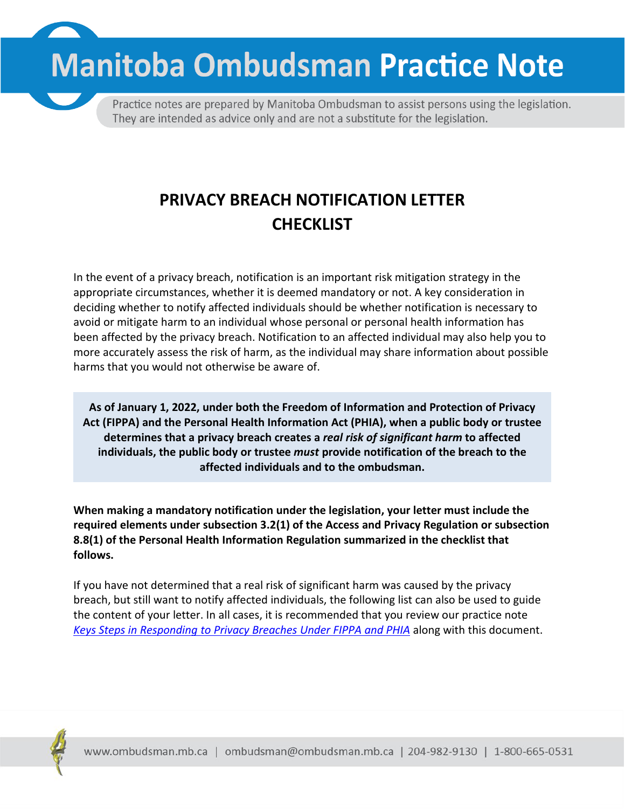**Manitoba Ombudsman Practice Note** 



Practice notes are prepared by Manitoba Ombudsman to assist persons using the legislation. They are intended as advice only and are not a substitute for the legislation.

# **PRIVACY BREACH NOTIFICATION LETTER CHECKLIST**

In the event of a privacy breach, notification is an important risk mitigation strategy in the appropriate circumstances, whether it is deemed mandatory or not. A key consideration in deciding whether to notify affected individuals should be whether notification is necessary to avoid or mitigate harm to an individual whose personal or personal health information has been affected by the privacy breach. Notification to an affected individual may also help you to more accurately assess the risk of harm, as the individual may share information about possible harms that you would not otherwise be aware of.

**As of January 1, 2022, under both the Freedom of Information and Protection of Privacy Act (FIPPA) and the Personal Health Information Act (PHIA), when a public body or trustee determines that a privacy breach creates a** *real risk of significant harm* **to affected individuals, the public body or trustee** *must* **provide notification of the breach to the affected individuals and to the ombudsman.**

**When making a mandatory notification under the legislation, your letter must include the required elements under subsection 3.2(1) of the Access and Privacy Regulation or subsection 8.8(1) of the Personal Health Information Regulation summarized in the checklist that follows.**

If you have not determined that a real risk of significant harm was caused by the privacy breach, but still want to notify affected individuals, the following list can also be used to guide the content of your letter. In all cases, it is recommended that you review our practice note *[Keys Steps in Responding to Privacy](https://www.ombudsman.mb.ca/info/privacy-breaches.html) Breaches Under FIPPA and PHIA* along with this document.

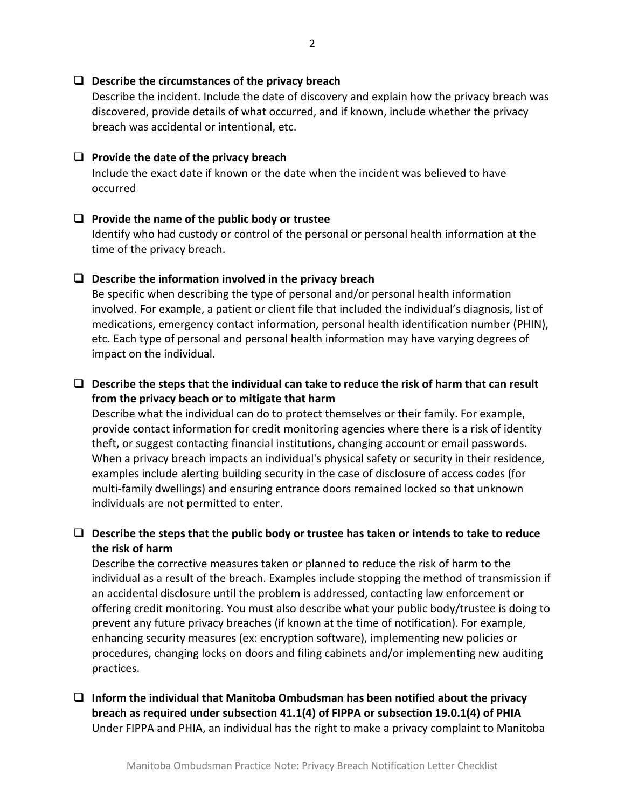#### **Describe the circumstances of the privacy breach**

Describe the incident. Include the date of discovery and explain how the privacy breach was discovered, provide details of what occurred, and if known, include whether the privacy breach was accidental or intentional, etc.

### **Provide the date of the privacy breach**

Include the exact date if known or the date when the incident was believed to have occurred

#### **Provide the name of the public body or trustee**

Identify who had custody or control of the personal or personal health information at the time of the privacy breach.

#### **Describe the information involved in the privacy breach**

Be specific when describing the type of personal and/or personal health information involved. For example, a patient or client file that included the individual's diagnosis, list of medications, emergency contact information, personal health identification number (PHIN), etc. Each type of personal and personal health information may have varying degrees of impact on the individual.

# **Describe the steps that the individual can take to reduce the risk of harm that can result from the privacy beach or to mitigate that harm**

Describe what the individual can do to protect themselves or their family. For example, provide contact information for credit monitoring agencies where there is a risk of identity theft, or suggest contacting financial institutions, changing account or email passwords. When a privacy breach impacts an individual's physical safety or security in their residence, examples include alerting building security in the case of disclosure of access codes (for multi-family dwellings) and ensuring entrance doors remained locked so that unknown individuals are not permitted to enter.

# **Describe the steps that the public body or trustee has taken or intends to take to reduce the risk of harm**

Describe the corrective measures taken or planned to reduce the risk of harm to the individual as a result of the breach. Examples include stopping the method of transmission if an accidental disclosure until the problem is addressed, contacting law enforcement or offering credit monitoring. You must also describe what your public body/trustee is doing to prevent any future privacy breaches (if known at the time of notification). For example, enhancing security measures (ex: encryption software), implementing new policies or procedures, changing locks on doors and filing cabinets and/or implementing new auditing practices.

# **Inform the individual that Manitoba Ombudsman has been notified about the privacy breach as required under subsection 41.1(4) of FIPPA or subsection 19.0.1(4) of PHIA** Under FIPPA and PHIA, an individual has the right to make a privacy complaint to Manitoba